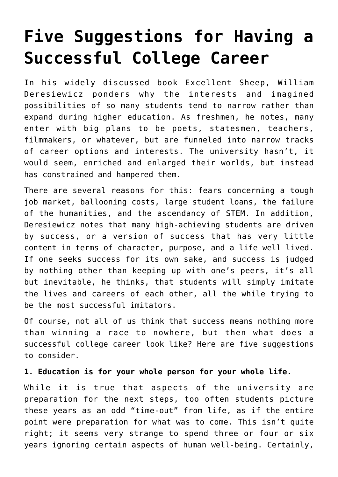# **[Five Suggestions for Having a](https://intellectualtakeout.org/2018/08/five-suggestions-for-having-a-successful-college-career/) [Successful College Career](https://intellectualtakeout.org/2018/08/five-suggestions-for-having-a-successful-college-career/)**

In his widely discussed book Excellent Sheep, William Deresiewicz ponders why the interests and imagined possibilities of so many students tend to narrow rather than expand during higher education. As freshmen, he notes, many enter with big plans to be poets, statesmen, teachers, filmmakers, or whatever, but are funneled into narrow tracks of career options and interests. The university hasn't, it would seem, enriched and enlarged their worlds, but instead has constrained and hampered them.

There are several reasons for this: fears concerning a tough job market, ballooning costs, large student loans, the failure of the humanities, and the ascendancy of STEM. In addition, Deresiewicz notes that many high-achieving students are driven by success, or a version of success that has very little content in terms of character, purpose, and a life well lived. If one seeks success for its own sake, and success is judged by nothing other than keeping up with one's peers, it's all but inevitable, he thinks, that students will simply imitate the lives and careers of each other, all the while trying to be the most successful imitators.

Of course, not all of us think that success means nothing more than winning a race to nowhere, but then what does a successful college career look like? Here are five suggestions to consider.

# **1. Education is for your whole person for your whole life.**

While it is true that aspects of the university are preparation for the next steps, too often students picture these years as an odd "time-out" from life, as if the entire point were preparation for what was to come. This isn't quite right; it seems very strange to spend three or four or six years ignoring certain aspects of human well-being. Certainly,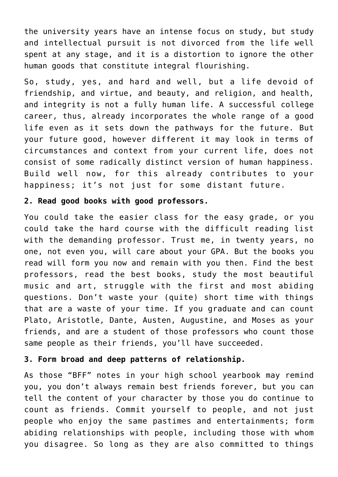the university years have an intense focus on study, but study and intellectual pursuit is not divorced from the life well spent at any stage, and it is a distortion to ignore the other human goods that constitute integral flourishing.

So, study, yes, and hard and well, but a life devoid of friendship, and virtue, and beauty, and religion, and health, and integrity is not a fully human life. A successful college career, thus, already incorporates the whole range of a good life even as it sets down the pathways for the future. But your future good, however different it may look in terms of circumstances and context from your current life, does not consist of some radically distinct version of human happiness. Build well now, for this already contributes to your happiness; it's not just for some distant future.

### **2. Read good books with good professors.**

You could take the easier class for the easy grade, or you could take the hard course with the difficult reading list with the demanding professor. Trust me, in twenty years, no one, not even you, will care about your GPA. But the books you read will form you now and remain with you then. Find the best professors, read the best books, study the most beautiful music and art, struggle with the first and most abiding questions. Don't waste your (quite) short time with things that are a waste of your time. If you graduate and can count Plato, Aristotle, Dante, Austen, Augustine, and Moses as your friends, and are a student of those professors who count those same people as their friends, you'll have succeeded.

#### **3. Form broad and deep patterns of relationship.**

As those "BFF" notes in your high school yearbook may remind you, you don't always remain best friends forever, but you can tell the content of your character by those you do continue to count as friends. Commit yourself to people, and not just people who enjoy the same pastimes and entertainments; form abiding relationships with people, including those with whom you disagree. So long as they are also committed to things